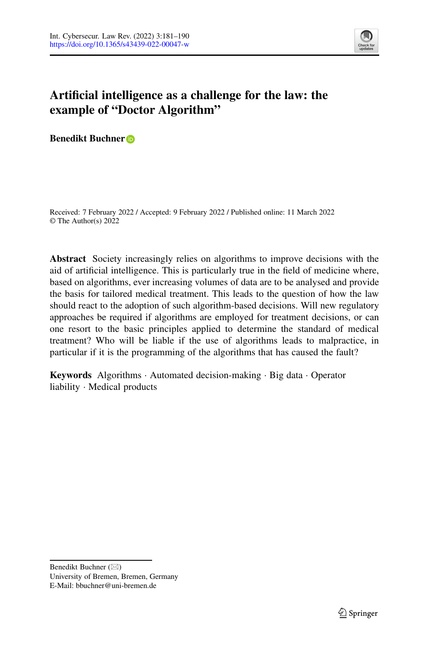

# **Artificial intelligence as a challenge for the law: the example of "Doctor Algorithm"**

**Benedikt Buchner**

Received: 7 February 2022 / Accepted: 9 February 2022 / Published online: 11 March 2022 © The Author(s) 2022

**Abstract** Society increasingly relies on algorithms to improve decisions with the aid of artificial intelligence. This is particularly true in the field of medicine where, based on algorithms, ever increasing volumes of data are to be analysed and provide the basis for tailored medical treatment. This leads to the question of how the law should react to the adoption of such algorithm-based decisions. Will new regulatory approaches be required if algorithms are employed for treatment decisions, or can one resort to the basic principles applied to determine the standard of medical treatment? Who will be liable if the use of algorithms leads to malpractice, in particular if it is the programming of the algorithms that has caused the fault?

**Keywords** Algorithms · Automated decision-making · Big data · Operator liability · Medical products

Benedikt Buchner ( $\boxtimes$ ) University of Bremen, Bremen, Germany E-Mail: bbuchner@uni-bremen.de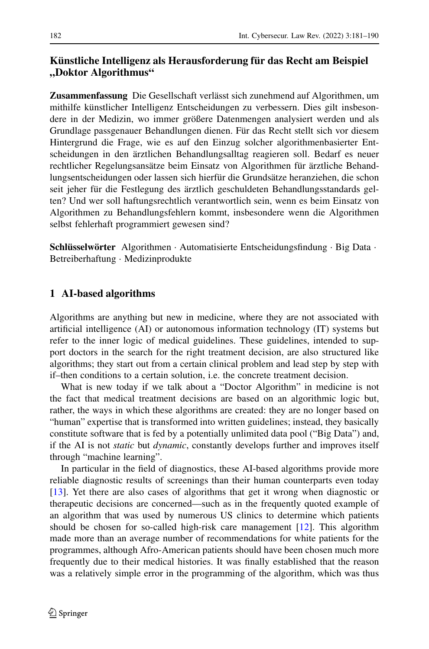# **Künstliche Intelligenz als Herausforderung für das Recht am Beispiel "Doktor Algorithmus"**

**Zusammenfassung** Die Gesellschaft verlässt sich zunehmend auf Algorithmen, um mithilfe künstlicher Intelligenz Entscheidungen zu verbessern. Dies gilt insbesondere in der Medizin, wo immer größere Datenmengen analysiert werden und als Grundlage passgenauer Behandlungen dienen. Für das Recht stellt sich vor diesem Hintergrund die Frage, wie es auf den Einzug solcher algorithmenbasierter Entscheidungen in den ärztlichen Behandlungsalltag reagieren soll. Bedarf es neuer rechtlicher Regelungsansätze beim Einsatz von Algorithmen für ärztliche Behandlungsentscheidungen oder lassen sich hierfür die Grundsätze heranziehen, die schon seit jeher für die Festlegung des ärztlich geschuldeten Behandlungsstandards gelten? Und wer soll haftungsrechtlich verantwortlich sein, wenn es beim Einsatz von Algorithmen zu Behandlungsfehlern kommt, insbesondere wenn die Algorithmen selbst fehlerhaft programmiert gewesen sind?

**Schlüsselwörter** Algorithmen · Automatisierte Entscheidungsfindung · Big Data · Betreiberhaftung · Medizinprodukte

# **1 AI-based algorithms**

Algorithms are anything but new in medicine, where they are not associated with artificial intelligence (AI) or autonomous information technology (IT) systems but refer to the inner logic of medical guidelines. These guidelines, intended to support doctors in the search for the right treatment decision, are also structured like algorithms; they start out from a certain clinical problem and lead step by step with if–then conditions to a certain solution, i.e. the concrete treatment decision.

What is new today if we talk about a "Doctor Algorithm" in medicine is not the fact that medical treatment decisions are based on an algorithmic logic but, rather, the ways in which these algorithms are created: they are no longer based on "human" expertise that is transformed into written guidelines; instead, they basically constitute software that is fed by a potentially unlimited data pool ("Big Data") and, if the AI is not *static* but *dynamic*, constantly develops further and improves itself through "machine learning".

In particular in the field of diagnostics, these AI-based algorithms provide more reliable diagnostic results of screenings than their human counterparts even today [\[13\]](#page-9-0). Yet there are also cases of algorithms that get it wrong when diagnostic or therapeutic decisions are concerned—such as in the frequently quoted example of an algorithm that was used by numerous US clinics to determine which patients should be chosen for so-called high-risk care management [\[12\]](#page-9-1). This algorithm made more than an average number of recommendations for white patients for the programmes, although Afro-American patients should have been chosen much more frequently due to their medical histories. It was finally established that the reason was a relatively simple error in the programming of the algorithm, which was thus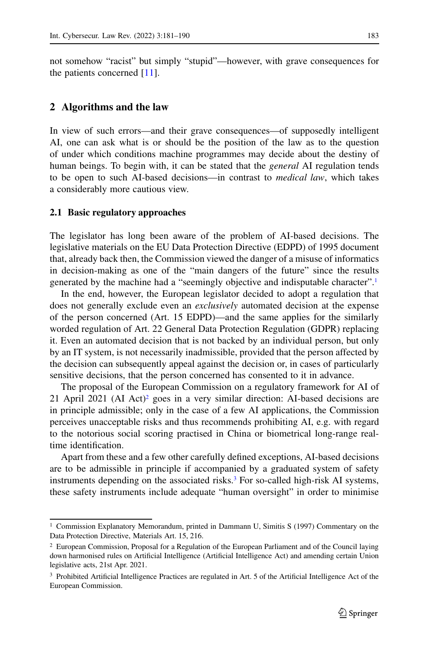not somehow "racist" but simply "stupid"—however, with grave consequences for the patients concerned [\[11\]](#page-8-0).

#### **2 Algorithms and the law**

In view of such errors—and their grave consequences—of supposedly intelligent AI, one can ask what is or should be the position of the law as to the question of under which conditions machine programmes may decide about the destiny of human beings. To begin with, it can be stated that the *general* AI regulation tends to be open to such AI-based decisions—in contrast to *medical law*, which takes a considerably more cautious view.

#### **2.1 Basic regulatory approaches**

The legislator has long been aware of the problem of AI-based decisions. The legislative materials on the EU Data Protection Directive (EDPD) of 1995 document that, already back then, the Commission viewed the danger of a misuse of informatics in decision-making as one of the "main dangers of the future" since the results generated by the machine had a "seemingly objective and indisputable character"[.1](#page-2-0)

In the end, however, the European legislator decided to adopt a regulation that does not generally exclude even an *exclusively* automated decision at the expense of the person concerned (Art. 15 EDPD)—and the same applies for the similarly worded regulation of Art. 22 General Data Protection Regulation (GDPR) replacing it. Even an automated decision that is not backed by an individual person, but only by an IT system, is not necessarily inadmissible, provided that the person affected by the decision can subsequently appeal against the decision or, in cases of particularly sensitive decisions, that the person concerned has consented to it in advance.

The proposal of the European Commission on a regulatory framework for AI of 21 April 2021 (AI Act[\)2](#page-2-1) goes in a very similar direction: AI-based decisions are in principle admissible; only in the case of a few AI applications, the Commission perceives unacceptable risks and thus recommends prohibiting AI, e.g. with regard to the notorious social scoring practised in China or biometrical long-range realtime identification.

Apart from these and a few other carefully defined exceptions, AI-based decisions are to be admissible in principle if accompanied by a graduated system of safety instruments depending on the associated risks[.3](#page-2-2) For so-called high-risk AI systems, these safety instruments include adequate "human oversight" in order to minimise

<span id="page-2-1"></span><span id="page-2-0"></span><sup>1</sup> Commission Explanatory Memorandum, printed in Dammann U, Simitis S (1997) Commentary on the Data Protection Directive, Materials Art. 15, 216.

<sup>&</sup>lt;sup>2</sup> European Commission, Proposal for a Regulation of the European Parliament and of the Council laying down harmonised rules on Artificial Intelligence (Artificial Intelligence Act) and amending certain Union legislative acts, 21st Apr. 2021.

<span id="page-2-2"></span><sup>3</sup> Prohibited Artificial Intelligence Practices are regulated in Art. 5 of the Artificial Intelligence Act of the European Commission.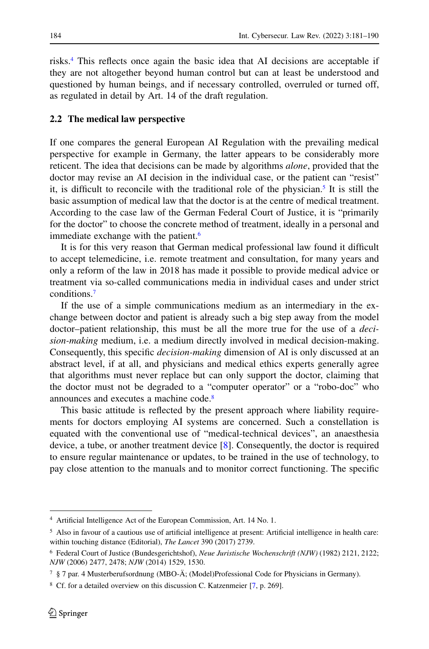risks[.4](#page-3-0) This reflects once again the basic idea that AI decisions are acceptable if they are not altogether beyond human control but can at least be understood and questioned by human beings, and if necessary controlled, overruled or turned off, as regulated in detail by Art. 14 of the draft regulation.

#### **2.2 The medical law perspective**

If one compares the general European AI Regulation with the prevailing medical perspective for example in Germany, the latter appears to be considerably more reticent. The idea that decisions can be made by algorithms *alone*, provided that the doctor may revise an AI decision in the individual case, or the patient can "resist" it, is difficult to reconcile with the traditional role of the physician.<sup>5</sup> It is still the basic assumption of medical law that the doctor is at the centre of medical treatment. According to the case law of the German Federal Court of Justice, it is "primarily for the doctor" to choose the concrete method of treatment, ideally in a personal and immediate exchange with the patient.<sup>6</sup>

It is for this very reason that German medical professional law found it difficult to accept telemedicine, i.e. remote treatment and consultation, for many years and only a reform of the law in 2018 has made it possible to provide medical advice or treatment via so-called communications media in individual cases and under strict conditions[.7](#page-3-3)

If the use of a simple communications medium as an intermediary in the exchange between doctor and patient is already such a big step away from the model doctor–patient relationship, this must be all the more true for the use of a *decision-making* medium, i.e. a medium directly involved in medical decision-making. Consequently, this specific *decision-making* dimension of AI is only discussed at an abstract level, if at all, and physicians and medical ethics experts generally agree that algorithms must never replace but can only support the doctor, claiming that the doctor must not be degraded to a "computer operator" or a "robo-doc" who announces and executes a machine code[.8](#page-3-4)

This basic attitude is reflected by the present approach where liability requirements for doctors employing AI systems are concerned. Such a constellation is equated with the conventional use of "medical-technical devices", an anaesthesia device, a tube, or another treatment device [\[8\]](#page-8-1). Consequently, the doctor is required to ensure regular maintenance or updates, to be trained in the use of technology, to pay close attention to the manuals and to monitor correct functioning. The specific

<span id="page-3-1"></span><span id="page-3-0"></span><sup>4</sup> Artificial Intelligence Act of the European Commission, Art. 14 No. 1.

<sup>5</sup> Also in favour of a cautious use of artificial intelligence at present: Artificial intelligence in health care: within touching distance (Editorial), *The Lancet* 390 (2017) 2739.

<span id="page-3-3"></span><span id="page-3-2"></span><sup>6</sup> Federal Court of Justice (Bundesgerichtshof), *Neue Juristische Wochenschrift (NJW)* (1982) 2121, 2122; *NJW* (2006) 2477, 2478; *NJW* (2014) 1529, 1530.

<span id="page-3-4"></span> $7 \text{ }\$  7 par. 4 Musterberufsordnung (MBO-Å; (Model)Professional Code for Physicians in Germany).

<sup>8</sup> Cf. for a detailed overview on this discussion C. Katzenmeier [\[7,](#page-8-2) p. 269].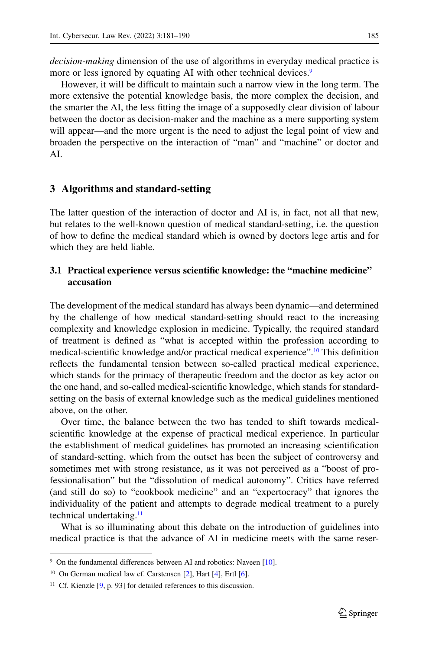*decision-making* dimension of the use of algorithms in everyday medical practice is more or less ignored by equating AI with other technical devices.<sup>9</sup>

However, it will be difficult to maintain such a narrow view in the long term. The more extensive the potential knowledge basis, the more complex the decision, and the smarter the AI, the less fitting the image of a supposedly clear division of labour between the doctor as decision-maker and the machine as a mere supporting system will appear—and the more urgent is the need to adjust the legal point of view and broaden the perspective on the interaction of "man" and "machine" or doctor and AI.

#### **3 Algorithms and standard-setting**

The latter question of the interaction of doctor and AI is, in fact, not all that new, but relates to the well-known question of medical standard-setting, i.e. the question of how to define the medical standard which is owned by doctors lege artis and for which they are held liable.

### **3.1 Practical experience versus scientific knowledge: the "machine medicine" accusation**

The development of the medical standard has always been dynamic—and determined by the challenge of how medical standard-setting should react to the increasing complexity and knowledge explosion in medicine. Typically, the required standard of treatment is defined as "what is accepted within the profession according to medical-scientific knowledge and/or practical medical experience"[.10](#page-4-1) This definition reflects the fundamental tension between so-called practical medical experience, which stands for the primacy of therapeutic freedom and the doctor as key actor on the one hand, and so-called medical-scientific knowledge, which stands for standardsetting on the basis of external knowledge such as the medical guidelines mentioned above, on the other.

Over time, the balance between the two has tended to shift towards medicalscientific knowledge at the expense of practical medical experience. In particular the establishment of medical guidelines has promoted an increasing scientification of standard-setting, which from the outset has been the subject of controversy and sometimes met with strong resistance, as it was not perceived as a "boost of professionalisation" but the "dissolution of medical autonomy". Critics have referred (and still do so) to "cookbook medicine" and an "expertocracy" that ignores the individuality of the patient and attempts to degrade medical treatment to a purely technical undertaking[.11](#page-4-2)

What is so illuminating about this debate on the introduction of guidelines into medical practice is that the advance of AI in medicine meets with the same reser-

<span id="page-4-1"></span><span id="page-4-0"></span><sup>&</sup>lt;sup>9</sup> On the fundamental differences between AI and robotics: Naveen [\[10\]](#page-8-3).

<span id="page-4-2"></span><sup>10</sup> On German medical law cf. Carstensen [\[2\]](#page-8-4), Hart [\[4\]](#page-8-5), Ertl [\[6\]](#page-8-6).

<sup>&</sup>lt;sup>11</sup> Cf. Kienzle  $[9, p. 93]$  $[9, p. 93]$  for detailed references to this discussion.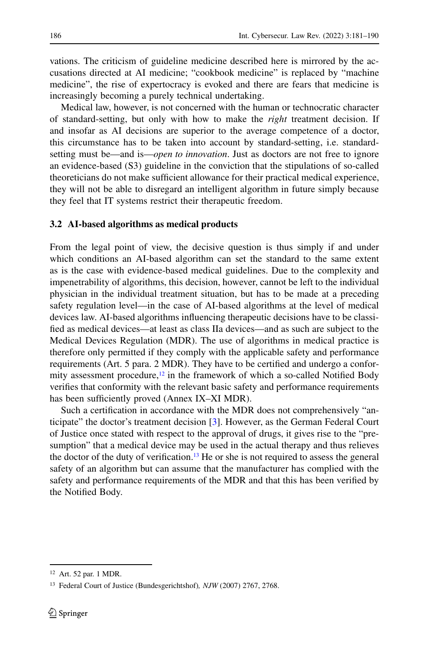vations. The criticism of guideline medicine described here is mirrored by the accusations directed at AI medicine; "cookbook medicine" is replaced by "machine medicine", the rise of expertocracy is evoked and there are fears that medicine is increasingly becoming a purely technical undertaking.

Medical law, however, is not concerned with the human or technocratic character of standard-setting, but only with how to make the *right* treatment decision. If and insofar as AI decisions are superior to the average competence of a doctor, this circumstance has to be taken into account by standard-setting, i.e. standardsetting must be—and is—*open to innovation*. Just as doctors are not free to ignore an evidence-based (S3) guideline in the conviction that the stipulations of so-called theoreticians do not make sufficient allowance for their practical medical experience, they will not be able to disregard an intelligent algorithm in future simply because they feel that IT systems restrict their therapeutic freedom.

#### **3.2 AI-based algorithms as medical products**

From the legal point of view, the decisive question is thus simply if and under which conditions an AI-based algorithm can set the standard to the same extent as is the case with evidence-based medical guidelines. Due to the complexity and impenetrability of algorithms, this decision, however, cannot be left to the individual physician in the individual treatment situation, but has to be made at a preceding safety regulation level—in the case of AI-based algorithms at the level of medical devices law. AI-based algorithms influencing therapeutic decisions have to be classified as medical devices—at least as class IIa devices—and as such are subject to the Medical Devices Regulation (MDR). The use of algorithms in medical practice is therefore only permitted if they comply with the applicable safety and performance requirements (Art. 5 para. 2 MDR). They have to be certified and undergo a conformity assessment procedure, $12$  in the framework of which a so-called Notified Body verifies that conformity with the relevant basic safety and performance requirements has been sufficiently proved (Annex IX–XI MDR).

Such a certification in accordance with the MDR does not comprehensively "anticipate" the doctor's treatment decision [\[3\]](#page-8-8). However, as the German Federal Court of Justice once stated with respect to the approval of drugs, it gives rise to the "presumption" that a medical device may be used in the actual therapy and thus relieves the doctor of the duty of verification.<sup>13</sup> He or she is not required to assess the general safety of an algorithm but can assume that the manufacturer has complied with the safety and performance requirements of the MDR and that this has been verified by the Notified Body.

<span id="page-5-1"></span><span id="page-5-0"></span><sup>12</sup> Art. 52 par. 1 MDR.

<sup>13</sup> Federal Court of Justice (Bundesgerichtshof)*, NJW* (2007) 2767, 2768.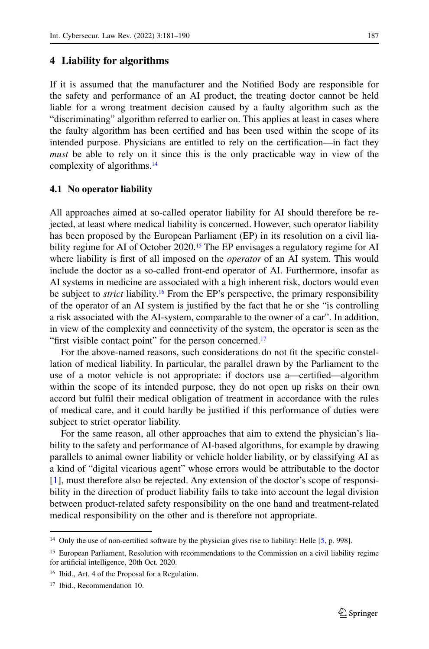### **4 Liability for algorithms**

If it is assumed that the manufacturer and the Notified Body are responsible for the safety and performance of an AI product, the treating doctor cannot be held liable for a wrong treatment decision caused by a faulty algorithm such as the "discriminating" algorithm referred to earlier on. This applies at least in cases where the faulty algorithm has been certified and has been used within the scope of its intended purpose. Physicians are entitled to rely on the certification—in fact they *must* be able to rely on it since this is the only practicable way in view of the complexity of algorithms[.14](#page-6-0)

#### **4.1 No operator liability**

All approaches aimed at so-called operator liability for AI should therefore be rejected, at least where medical liability is concerned. However, such operator liability has been proposed by the European Parliament (EP) in its resolution on a civil liability regime for AI of October 2020.<sup>15</sup> The EP envisages a regulatory regime for AI where liability is first of all imposed on the *operator* of an AI system. This would include the doctor as a so-called front-end operator of AI. Furthermore, insofar as AI systems in medicine are associated with a high inherent risk, doctors would even be subject to *strict* liability.<sup>16</sup> From the EP's perspective, the primary responsibility of the operator of an AI system is justified by the fact that he or she "is controlling a risk associated with the AI-system, comparable to the owner of a car". In addition, in view of the complexity and connectivity of the system, the operator is seen as the "first visible contact point" for the person concerned.<sup>17</sup>

For the above-named reasons, such considerations do not fit the specific constellation of medical liability. In particular, the parallel drawn by the Parliament to the use of a motor vehicle is not appropriate: if doctors use a—certified—algorithm within the scope of its intended purpose, they do not open up risks on their own accord but fulfil their medical obligation of treatment in accordance with the rules of medical care, and it could hardly be justified if this performance of duties were subject to strict operator liability.

For the same reason, all other approaches that aim to extend the physician's liability to the safety and performance of AI-based algorithms, for example by drawing parallels to animal owner liability or vehicle holder liability, or by classifying AI as a kind of "digital vicarious agent" whose errors would be attributable to the doctor [\[1\]](#page-8-9), must therefore also be rejected. Any extension of the doctor's scope of responsibility in the direction of product liability fails to take into account the legal division between product-related safety responsibility on the one hand and treatment-related medical responsibility on the other and is therefore not appropriate.

<span id="page-6-1"></span><span id="page-6-0"></span><sup>&</sup>lt;sup>14</sup> Only the use of non-certified software by the physician gives rise to liability: Helle [\[5,](#page-8-10) p. 998].

<span id="page-6-2"></span><sup>15</sup> European Parliament, Resolution with recommendations to the Commission on a civil liability regime for artificial intelligence, 20th Oct. 2020.

<span id="page-6-3"></span><sup>16</sup> Ibid., Art. 4 of the Proposal for a Regulation.

<sup>&</sup>lt;sup>17</sup> Ibid., Recommendation 10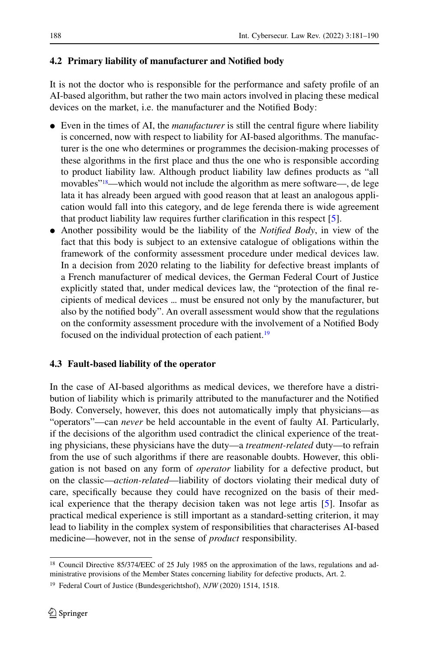# **4.2 Primary liability of manufacturer and Notified body**

It is not the doctor who is responsible for the performance and safety profile of an AI-based algorithm, but rather the two main actors involved in placing these medical devices on the market, i.e. the manufacturer and the Notified Body:

- Even in the times of AI, the *manufacturer* is still the central figure where liability is concerned, now with respect to liability for AI-based algorithms. The manufacturer is the one who determines or programmes the decision-making processes of these algorithms in the first place and thus the one who is responsible according to product liability law. Although product liability law defines products as "all movables<sup>"18</sup>—which would not include the algorithm as mere software—, de lege lata it has already been argued with good reason that at least an analogous application would fall into this category, and de lege ferenda there is wide agreement that product liability law requires further clarification in this respect [\[5\]](#page-8-10).
- Another possibility would be the liability of the *Notified Body*, in view of the fact that this body is subject to an extensive catalogue of obligations within the framework of the conformity assessment procedure under medical devices law. In a decision from 2020 relating to the liability for defective breast implants of a French manufacturer of medical devices, the German Federal Court of Justice explicitly stated that, under medical devices law, the "protection of the final recipients of medical devices ... must be ensured not only by the manufacturer, but also by the notified body". An overall assessment would show that the regulations on the conformity assessment procedure with the involvement of a Notified Body focused on the individual protection of each patient.<sup>19</sup>

# **4.3 Fault-based liability of the operator**

In the case of AI-based algorithms as medical devices, we therefore have a distribution of liability which is primarily attributed to the manufacturer and the Notified Body. Conversely, however, this does not automatically imply that physicians—as "operators"—can *never* be held accountable in the event of faulty AI. Particularly, if the decisions of the algorithm used contradict the clinical experience of the treating physicians, these physicians have the duty—a *treatment-related* duty—to refrain from the use of such algorithms if there are reasonable doubts. However, this obligation is not based on any form of *operator* liability for a defective product, but on the classic—*action-related*—liability of doctors violating their medical duty of care, specifically because they could have recognized on the basis of their medical experience that the therapy decision taken was not lege artis [\[5\]](#page-8-10). Insofar as practical medical experience is still important as a standard-setting criterion, it may lead to liability in the complex system of responsibilities that characterises AI-based medicine—however, not in the sense of *product* responsibility.

<span id="page-7-0"></span><sup>&</sup>lt;sup>18</sup> Council Directive 85/374/EEC of 25 July 1985 on the approximation of the laws, regulations and administrative provisions of the Member States concerning liability for defective products, Art. 2.

<span id="page-7-1"></span><sup>19</sup> Federal Court of Justice (Bundesgerichtshof), *NJW* (2020) 1514, 1518.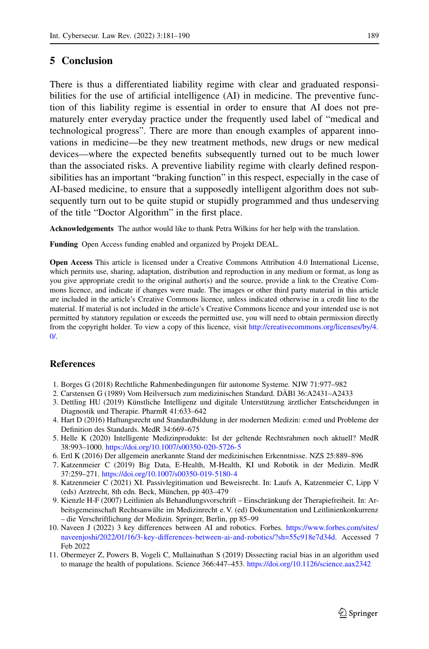### **5 Conclusion**

There is thus a differentiated liability regime with clear and graduated responsibilities for the use of artificial intelligence (AI) in medicine. The preventive function of this liability regime is essential in order to ensure that AI does not prematurely enter everyday practice under the frequently used label of "medical and technological progress". There are more than enough examples of apparent innovations in medicine—be they new treatment methods, new drugs or new medical devices—where the expected benefits subsequently turned out to be much lower than the associated risks. A preventive liability regime with clearly defined responsibilities has an important "braking function" in this respect, especially in the case of AI-based medicine, to ensure that a supposedly intelligent algorithm does not subsequently turn out to be quite stupid or stupidly programmed and thus undeserving of the title "Doctor Algorithm" in the first place.

**Acknowledgements** The author would like to thank Petra Wilkins for her help with the translation.

**Funding** Open Access funding enabled and organized by Projekt DEAL.

**Open Access** This article is licensed under a Creative Commons Attribution 4.0 International License, which permits use, sharing, adaptation, distribution and reproduction in any medium or format, as long as you give appropriate credit to the original author(s) and the source, provide a link to the Creative Commons licence, and indicate if changes were made. The images or other third party material in this article are included in the article's Creative Commons licence, unless indicated otherwise in a credit line to the material. If material is not included in the article's Creative Commons licence and your intended use is not permitted by statutory regulation or exceeds the permitted use, you will need to obtain permission directly from the copyright holder. To view a copy of this licence, visit [http://creativecommons.org/licenses/by/4.](http://creativecommons.org/licenses/by/4.0/)  $\Omega$ 

### **References**

- <span id="page-8-9"></span><span id="page-8-4"></span>1. Borges G (2018) Rechtliche Rahmenbedingungen für autonome Systeme. NJW 71:977–982
- <span id="page-8-8"></span>2. Carstensen G (1989) Vom Heilversuch zum medizinischen Standard. DÄBl 36:A2431–A2433
- 3. Dettling HU (2019) Künstliche Intelligenz und digitale Unterstützung ärztlicher Entscheidungen in Diagnostik und Therapie. PharmR 41:633–642
- <span id="page-8-5"></span>4. Hart D (2016) Haftungsrecht und Standardbildung in der modernen Medizin: e:med und Probleme der Definition des Standards. MedR 34:669–675
- <span id="page-8-10"></span>5. Helle K (2020) Intelligente Medizinprodukte: Ist der geltende Rechtsrahmen noch aktuell? MedR 38:993–1000. <https://doi.org/10.1007/s00350-020-5726-5>
- <span id="page-8-6"></span><span id="page-8-2"></span>6. Ertl K (2016) Der allgemein anerkannte Stand der medizinischen Erkenntnisse. NZS 25:889–896
- 7. Katzenmeier C (2019) Big Data, E-Health, M-Health, KI und Robotik in der Medizin. MedR 37:259–271. <https://doi.org/10.1007/s00350-019-5180-4>
- <span id="page-8-1"></span>8. Katzenmeier C (2021) XI. Passivlegitimation und Beweisrecht. In: Laufs A, Katzenmeier C, Lipp V (eds) Arztrecht, 8th edn. Beck, München, pp 403–479
- <span id="page-8-7"></span>9. Kienzle H-F (2007) Leitlinien als Behandlungsvorschrift – Einschränkung der Therapiefreiheit. In: Arbeitsgemeinschaft Rechtsanwälte im Medizinrecht e. V. (ed) Dokumentation und Leitlinienkonkurrenz – die Verschriftlichung der Medizin. Springer, Berlin, pp 85–99
- <span id="page-8-3"></span>10. Naveen J (2022) 3 key differences between AI and robotics. Forbes. [https://www.forbes.com/sites/](https://www.forbes.com/sites/naveenjoshi/2022/01/16/3-key-differences-between-ai-and-robotics/?sh=55c918e7d34d) [naveenjoshi/2022/01/16/3-key-differences-between-ai-and-robotics/?sh=55c918e7d34d.](https://www.forbes.com/sites/naveenjoshi/2022/01/16/3-key-differences-between-ai-and-robotics/?sh=55c918e7d34d) Accessed 7 Feb 2022
- <span id="page-8-0"></span>11. Obermeyer Z, Powers B, Vogeli C, Mullainathan S (2019) Dissecting racial bias in an algorithm used to manage the health of populations. Science 366:447–453. <https://doi.org/10.1126/science.aax2342>